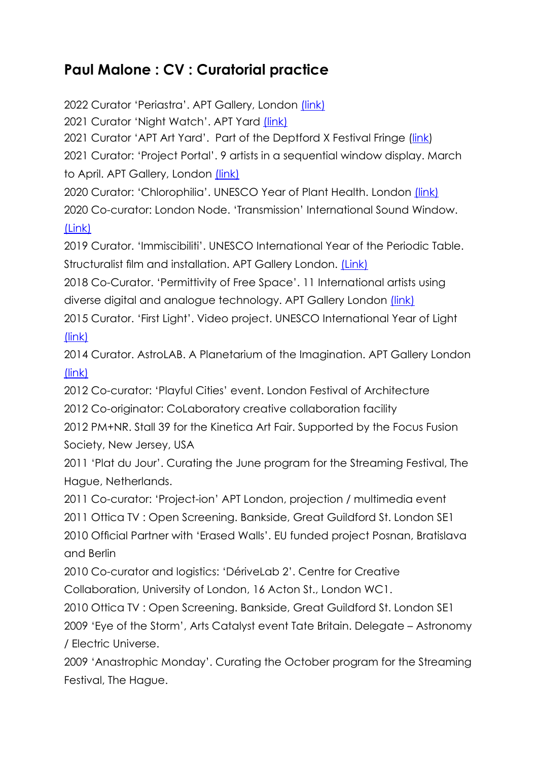## **Paul Malone : CV : Curatorial practice**

2022 Curator 'Periastra'. APT Gallery, London [\(link\)](https://www.cipango.co.uk/periastra/index.html) 2021 Curator 'Night Watch'. APT Yard [\(link\)](https://www.cipango.co.uk/night-watch/index.html) 2021Curator 'APT Art Yard'. Part of the Deptford X Festival Fringe ([link\)](https://deptfordx.org/) 2021 Curator: 'Project Portal'. 9 artists in a sequential window display. March to April. APT Gallery, London [\(link\)](https://www.cipango.co.uk/project-portal/) 2020 Curator: 'Chlorophilia'. UNESCO Year of Plant Health. London [\(link\)](https://www.cipango.co.uk/chlorophilia/index.html) 2020 Co-curator: London Node. 'Transmission' International Sound Window. [\(Link\)](https://www.cipango.co.uk/transmission/) 2019 Curator. 'Immiscibiliti'. UNESCO International Year of the Periodic Table. Structuralist film and installation. APT Gallery London. [\(Link\)](https://www.cipango.co.uk/immiscibiliti/index.html) 2018 Co-Curator. 'Permittivity of Free Space'. 11 International artists using diverse digital and analogue technology. APT Gallery London [\(link\)](https://www.cipango.co.uk/permittivity/index.html) 2015 Curator. 'First Light'. Video project. UNESCO International Year of Light [\(link\)](https://www.cipango.co.uk/firstlight/index.html)

2014 Curator. AstroLAB. A Planetarium of the Imagination. APT Gallery London [\(link\)](https://www.cipango.co.uk/astrolab/index.html)

2012 Co-curator: 'Playful Cities' event. London Festival of Architecture

2012 Co-originator: CoLaboratory creative collaboration facility

2012 PM+NR. Stall 39 for the Kinetica Art Fair. Supported by the Focus Fusion Society, New Jersey, USA

2011 'Plat du Jour'. Curating the June program for the Streaming Festival, The Hague, Netherlands.

2011 Co-curator: 'Project-ion' APT London, projection / multimedia event 2011 Ottica TV : Open Screening. Bankside, Great Guildford St. London SE1 2010 Official Partner with 'Erased Walls'. EU funded project Posnan, Bratislava and Berlin

2010 Co-curator and logistics: 'DériveLab 2'. Centre for Creative Collaboration, University of London, 16 Acton St., London WC1.

2010 Ottica TV : Open Screening. Bankside, Great Guildford St. London SE1 2009 'Eye of the Storm', Arts Catalyst event Tate Britain. Delegate – Astronomy / Electric Universe.

2009 'Anastrophic Monday'. Curating the October program for the Streaming Festival, The Hague.